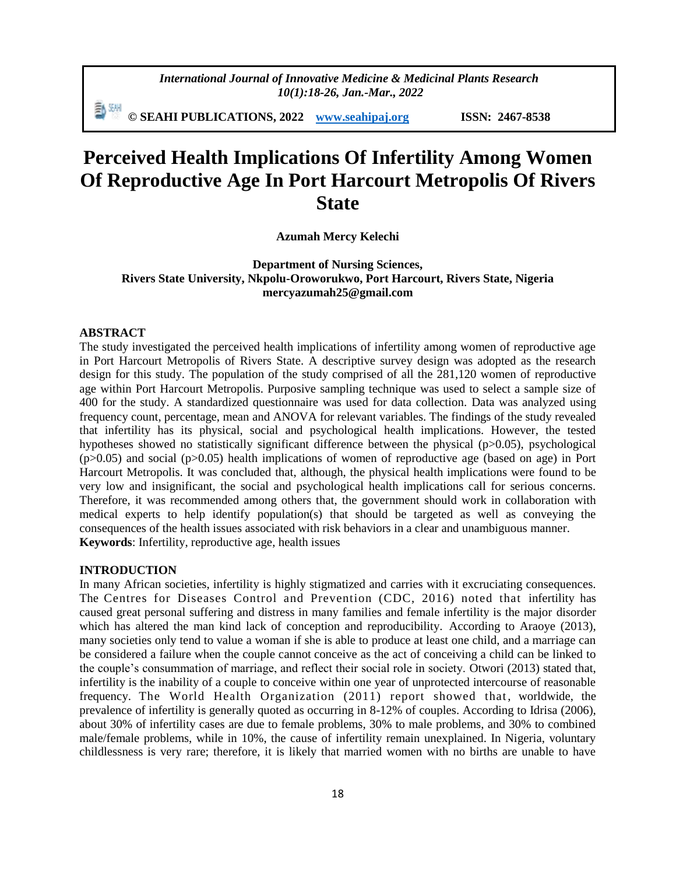*International Journal of Innovative Medicine & Medicinal Plants Research 10(1):18-26, Jan.-Mar., 2022*

**© SEAHI PUBLICATIONS, 2022 [www.seahipaj.org](http://www.seahipaj.org/) ISSN: 2467-8538**

# **Perceived Health Implications Of Infertility Among Women Of Reproductive Age In Port Harcourt Metropolis Of Rivers State**

## **Azumah Mercy Kelechi**

**Department of Nursing Sciences, Rivers State University, Nkpolu-Oroworukwo, Port Harcourt, Rivers State, Nigeria mercyazumah25@gmail.com**

#### **ABSTRACT**

The study investigated the perceived health implications of infertility among women of reproductive age in Port Harcourt Metropolis of Rivers State. A descriptive survey design was adopted as the research design for this study. The population of the study comprised of all the 281,120 women of reproductive age within Port Harcourt Metropolis. Purposive sampling technique was used to select a sample size of 400 for the study. A standardized questionnaire was used for data collection. Data was analyzed using frequency count, percentage, mean and ANOVA for relevant variables. The findings of the study revealed that infertility has its physical, social and psychological health implications. However, the tested hypotheses showed no statistically significant difference between the physical (p>0.05), psychological  $(p>0.05)$  and social  $(p>0.05)$  health implications of women of reproductive age (based on age) in Port Harcourt Metropolis. It was concluded that, although, the physical health implications were found to be very low and insignificant, the social and psychological health implications call for serious concerns. Therefore, it was recommended among others that, the government should work in collaboration with medical experts to help identify population(s) that should be targeted as well as conveying the consequences of the health issues associated with risk behaviors in a clear and unambiguous manner. **Keywords**: Infertility, reproductive age, health issues

#### **INTRODUCTION**

In many African societies, infertility is highly stigmatized and carries with it excruciating consequences. The Centres for Diseases Control and Prevention (CDC, 2016) noted that infertility has caused great personal suffering and distress in many families and female infertility is the major disorder which has altered the man kind lack of conception and reproducibility. According to Araoye (2013), many societies only tend to value a woman if she is able to produce at least one child, and a marriage can be considered a failure when the couple cannot [conceive](https://en.wikipedia.org/wiki/Conceive) as the act of conceiving a child can be linked to the couple's consummation of marriage, and reflect their social role in society. Otwori (2013) stated that, infertility is the inability of a couple to conceive within one year of unprotected intercourse of reasonable frequency. The World Health Organization  $(2011)$  report showed that, worldwide, the prevalence of infertility is generally quoted as occurring in 8-12% of couples. According to Idrisa (2006), about 30% of infertility cases are due to female problems, 30% to male problems, and 30% to combined male/female problems, while in 10%, the cause of infertility remain unexplained. In Nigeria, voluntary childlessness is very rare; therefore, it is likely that married women with no births are unable to have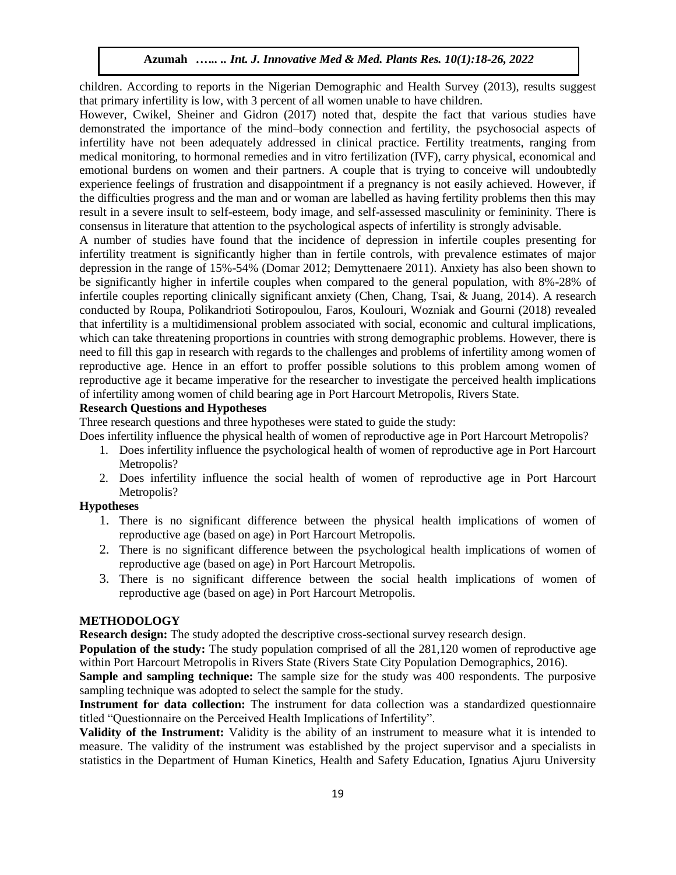children. According to reports in the Nigerian Demographic and Health Survey (2013), results suggest that primary infertility is low, with 3 percent of all women unable to have children.

However, Cwikel, Sheiner and Gidron (2017) noted that, despite the fact that various studies have demonstrated the importance of the mind–body connection and fertility, the psychosocial aspects of infertility have not been adequately addressed in clinical practice. Fertility treatments, ranging from medical monitoring, to hormonal remedies and in vitro fertilization (IVF), carry physical, economical and emotional burdens on women and their partners. A couple that is trying to conceive will undoubtedly experience feelings of frustration and disappointment if a pregnancy is not easily achieved. However, if the difficulties progress and the man and or woman are labelled as having fertility problems then this may result in a severe insult to self-esteem, body image, and self-assessed masculinity or femininity. There is consensus in literature that attention to the psychological aspects of infertility is strongly advisable.

A number of studies have found that the incidence of depression in infertile couples presenting for infertility treatment is significantly higher than in fertile controls, with prevalence estimates of major depression in the range of 15%-54% (Domar 2012; Demyttenaere 2011). Anxiety has also been shown to be significantly higher in infertile couples when compared to the general population, with 8%-28% of infertile couples reporting clinically significant anxiety (Chen, Chang, Tsai, & Juang, 2014). A research conducted by Roupa, Polikandrioti Sotiropoulou, Faros, Koulouri, Wozniak and Gourni (2018) revealed that infertility is a multidimensional problem associated with social, economic and cultural implications, which can take threatening proportions in countries with strong demographic problems. However, there is need to fill this gap in research with regards to the challenges and problems of infertility among women of reproductive age. Hence in an effort to proffer possible solutions to this problem among women of reproductive age it became imperative for the researcher to investigate the perceived health implications of infertility among women of child bearing age in Port Harcourt Metropolis, Rivers State.

# **Research Questions and Hypotheses**

Three research questions and three hypotheses were stated to guide the study:

Does infertility influence the physical health of women of reproductive age in Port Harcourt Metropolis?

- 1. Does infertility influence the psychological health of women of reproductive age in Port Harcourt Metropolis?
- 2. Does infertility influence the social health of women of reproductive age in Port Harcourt Metropolis?

# **Hypotheses**

- 1. There is no significant difference between the physical health implications of women of reproductive age (based on age) in Port Harcourt Metropolis.
- 2. There is no significant difference between the psychological health implications of women of reproductive age (based on age) in Port Harcourt Metropolis.
- 3. There is no significant difference between the social health implications of women of reproductive age (based on age) in Port Harcourt Metropolis.

# **METHODOLOGY**

**Research design:** The study adopted the descriptive cross-sectional survey research design.

**Population of the study:** The study population comprised of all the 281,120 women of reproductive age within Port Harcourt Metropolis in Rivers State (Rivers State City Population Demographics, 2016).

Sample and sampling technique: The sample size for the study was 400 respondents. The purposive sampling technique was adopted to select the sample for the study.

**Instrument for data collection:** The instrument for data collection was a standardized questionnaire titled "Questionnaire on the Perceived Health Implications of Infertility".

**Validity of the Instrument:** Validity is the ability of an instrument to measure what it is intended to measure. The validity of the instrument was established by the project supervisor and a specialists in statistics in the Department of Human Kinetics, Health and Safety Education, Ignatius Ajuru University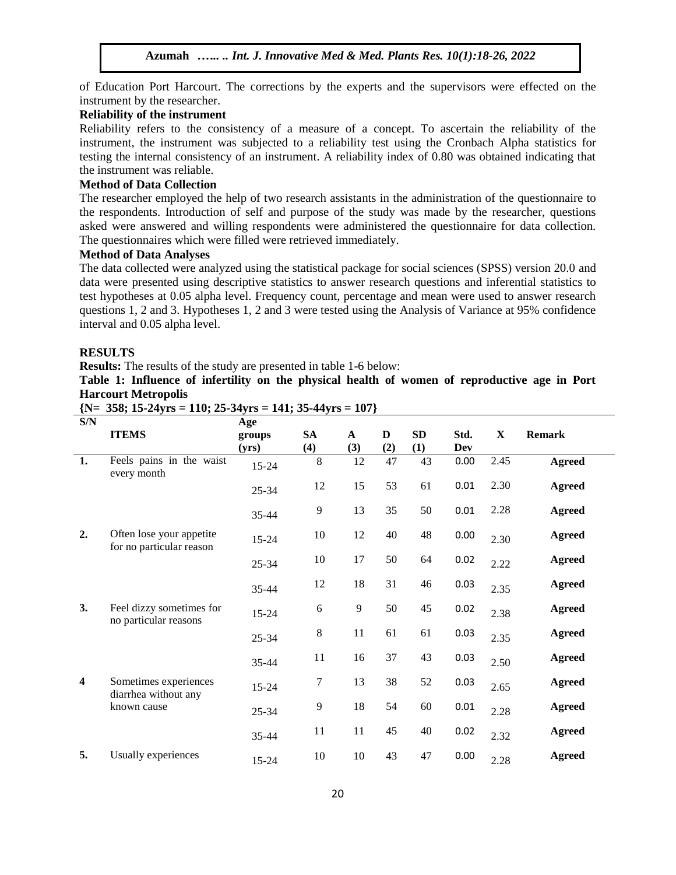of Education Port Harcourt. The corrections by the experts and the supervisors were effected on the instrument by the researcher.

# **Reliability of the instrument**

Reliability refers to the consistency of a measure of a concept. To ascertain the reliability of the instrument, the instrument was subjected to a reliability test using the Cronbach Alpha statistics for testing the internal consistency of an instrument. A reliability index of 0.80 was obtained indicating that the instrument was reliable.

#### **Method of Data Collection**

The researcher employed the help of two research assistants in the administration of the questionnaire to the respondents. Introduction of self and purpose of the study was made by the researcher, questions asked were answered and willing respondents were administered the questionnaire for data collection. The questionnaires which were filled were retrieved immediately.

# **Method of Data Analyses**

The data collected were analyzed using the statistical package for social sciences (SPSS) version 20.0 and data were presented using descriptive statistics to answer research questions and inferential statistics to test hypotheses at 0.05 alpha level. Frequency count, percentage and mean were used to answer research questions 1, 2 and 3. Hypotheses 1, 2 and 3 were tested using the Analysis of Variance at 95% confidence interval and 0.05 alpha level.

#### **RESULTS**

**Results:** The results of the study are presented in table 1-6 below:

**Table 1: Influence of infertility on the physical health of women of reproductive age in Port Harcourt Metropolis**

| S/N                     |                                               | Age       |           |             |     |     |      |             |               |
|-------------------------|-----------------------------------------------|-----------|-----------|-------------|-----|-----|------|-------------|---------------|
|                         | <b>ITEMS</b>                                  | groups    | <b>SA</b> | $\mathbf A$ | D   | SD  | Std. | $\mathbf X$ | <b>Remark</b> |
|                         |                                               | (yrs)     | (4)       | (3)         | (2) | (1) | Dev  |             |               |
| 1.                      | Feels pains in the waist<br>every month       | $15 - 24$ | 8         | 12          | 47  | 43  | 0.00 | 2.45        | <b>Agreed</b> |
|                         |                                               | $25 - 34$ | 12        | 15          | 53  | 61  | 0.01 | 2.30        | <b>Agreed</b> |
|                         |                                               | $35 - 44$ | 9         | 13          | 35  | 50  | 0.01 | 2.28        | <b>Agreed</b> |
| 2.                      | Often lose your appetite                      | $15 - 24$ | 10        | 12          | 40  | 48  | 0.00 | 2.30        | <b>Agreed</b> |
|                         | for no particular reason                      | $25 - 34$ | 10        | 17          | 50  | 64  | 0.02 | 2.22        | <b>Agreed</b> |
|                         |                                               | $35 - 44$ | 12        | 18          | 31  | 46  | 0.03 | 2.35        | <b>Agreed</b> |
| 3.                      | Feel dizzy sometimes for                      | $15 - 24$ | 6         | 9           | 50  | 45  | 0.02 | 2.38        | <b>Agreed</b> |
|                         | no particular reasons                         | $25 - 34$ | 8         | 11          | 61  | 61  | 0.03 | 2.35        | <b>Agreed</b> |
|                         |                                               | $35 - 44$ | 11        | 16          | 37  | 43  | 0.03 | 2.50        | <b>Agreed</b> |
| $\overline{\mathbf{4}}$ | Sometimes experiences<br>diarrhea without any | $15 - 24$ | 7         | 13          | 38  | 52  | 0.03 | 2.65        | <b>Agreed</b> |
|                         | known cause                                   | $25 - 34$ | 9         | 18          | 54  | 60  | 0.01 | 2.28        | <b>Agreed</b> |
|                         |                                               | $35 - 44$ | 11        | 11          | 45  | 40  | 0.02 | 2.32        | <b>Agreed</b> |
| 5.                      | Usually experiences                           | $15 - 24$ | 10        | 10          | 43  | 47  | 0.00 | 2.28        | <b>Agreed</b> |

**{N= 358; 15-24yrs = 110; 25-34yrs = 141; 35-44yrs = 107}**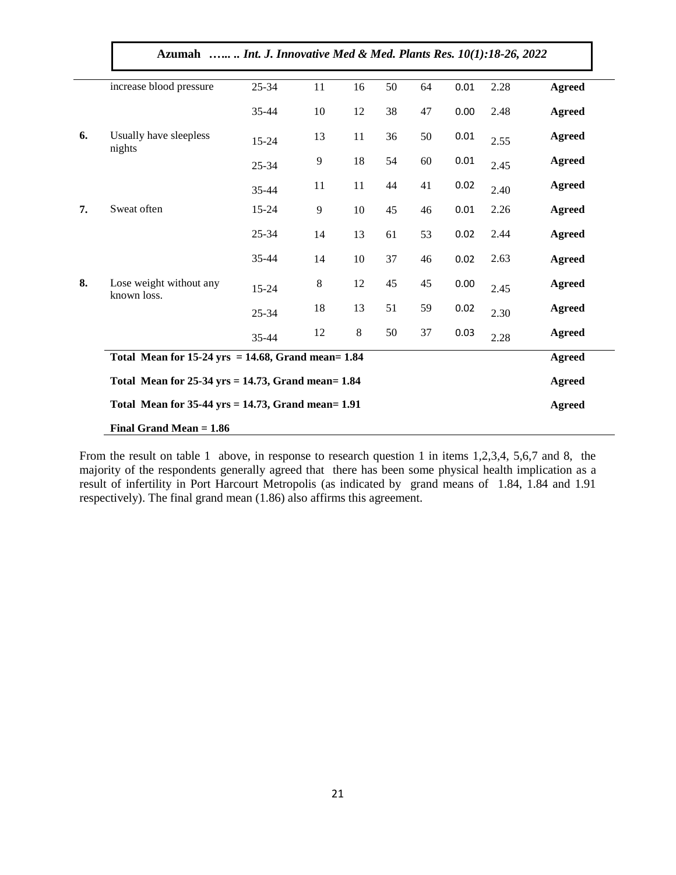| Azumah   Int. J. Innovative Med & Med. Plants Res. 10(1):18-26, 2022 |           |    |    |    |    |      |      |               |  |  |
|----------------------------------------------------------------------|-----------|----|----|----|----|------|------|---------------|--|--|
| increase blood pressure                                              | $25 - 34$ | 11 | 16 | 50 | 64 | 0.01 | 2.28 | <b>Agreed</b> |  |  |
|                                                                      | 35-44     | 10 | 12 | 38 | 47 | 0.00 | 2.48 | <b>Agreed</b> |  |  |
| Usually have sleepless<br>nights                                     | $15 - 24$ | 13 | 11 | 36 | 50 | 0.01 | 2.55 | <b>Agreed</b> |  |  |
|                                                                      | $25 - 34$ | 9  | 18 | 54 | 60 | 0.01 | 2.45 | <b>Agreed</b> |  |  |
|                                                                      | 35-44     | 11 | 11 | 44 | 41 | 0.02 | 2.40 | <b>Agreed</b> |  |  |
| Sweat often                                                          | $15 - 24$ | 9  | 10 | 45 | 46 | 0.01 | 2.26 | <b>Agreed</b> |  |  |
|                                                                      | $25 - 34$ | 14 | 13 | 61 | 53 | 0.02 | 2.44 | <b>Agreed</b> |  |  |
|                                                                      | 35-44     | 14 | 10 | 37 | 46 | 0.02 | 2.63 | <b>Agreed</b> |  |  |
| Lose weight without any<br>known loss.                               | $15 - 24$ | 8  | 12 | 45 | 45 | 0.00 | 2.45 | <b>Agreed</b> |  |  |
|                                                                      | $25 - 34$ | 18 | 13 | 51 | 59 | 0.02 | 2.30 | <b>Agreed</b> |  |  |
|                                                                      | 35-44     | 12 | 8  | 50 | 37 | 0.03 | 2.28 | <b>Agreed</b> |  |  |
| Total Mean for $15-24$ yrs = 14.68, Grand mean= 1.84                 |           |    |    |    |    |      |      |               |  |  |
| Total Mean for $25-34$ yrs = 14.73, Grand mean= 1.84                 |           |    |    |    |    |      |      |               |  |  |
| Total Mean for $35-44$ yrs = 14.73, Grand mean= 1.91                 |           |    |    |    |    |      |      |               |  |  |

From the result on table 1 above, in response to research question 1 in items 1,2,3,4, 5,6,7 and 8, the majority of the respondents generally agreed that there has been some physical health implication as a result of infertility in Port Harcourt Metropolis (as indicated by grand means of 1.84, 1.84 and 1.91 respectively). The final grand mean (1.86) also affirms this agreement.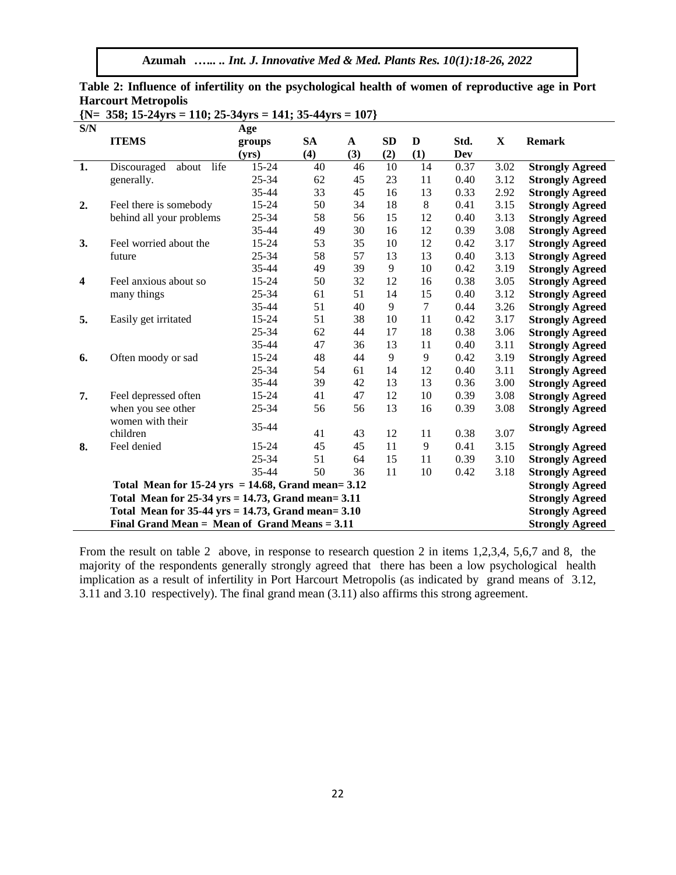|                         | ${N= 358; 15\text{-}24yrs = 110; 25\text{-}34yrs = 141; 35\text{-}44yrs = 107}$ |                        |           |              |          |          |              |              |                        |  |
|-------------------------|---------------------------------------------------------------------------------|------------------------|-----------|--------------|----------|----------|--------------|--------------|------------------------|--|
| S/N                     |                                                                                 | Age                    |           |              |          |          |              |              |                        |  |
|                         | <b>ITEMS</b>                                                                    | groups                 | <b>SA</b> | $\mathbf{A}$ | SD       | D        | Std.         | $\mathbf X$  | <b>Remark</b>          |  |
|                         |                                                                                 | (yrs)                  | (4)       | (3)          | (2)      | (1)      | Dev          |              |                        |  |
| 1.                      | life<br>Discouraged<br>about                                                    | 15-24                  | 40        | 46           | 10       | 14       | 0.37         | 3.02         | <b>Strongly Agreed</b> |  |
|                         | generally.                                                                      | 25-34                  | 62        | 45           | 23       | 11       | 0.40         | 3.12         | <b>Strongly Agreed</b> |  |
|                         |                                                                                 | 35-44                  | 33        | 45           | 16       | 13       | 0.33         | 2.92         | <b>Strongly Agreed</b> |  |
| 2.                      | Feel there is somebody                                                          | 15-24                  | 50        | 34           | 18       | $\,8\,$  | 0.41         | 3.15         | <b>Strongly Agreed</b> |  |
|                         | behind all your problems                                                        | $25 - 34$              | 58        | 56           | 15       | 12       | 0.40         | 3.13         | <b>Strongly Agreed</b> |  |
|                         |                                                                                 | 35-44                  | 49        | 30           | 16       | 12       | 0.39         | 3.08         | <b>Strongly Agreed</b> |  |
| 3.                      | Feel worried about the                                                          | 15-24                  | 53        | 35           | 10       | 12       | 0.42         | 3.17         | <b>Strongly Agreed</b> |  |
|                         | future                                                                          | $25 - 34$              | 58        | 57           | 13       | 13       | 0.40         | 3.13         | <b>Strongly Agreed</b> |  |
|                         |                                                                                 | 35-44                  | 49        | 39           | 9        | 10       | 0.42         | 3.19         | <b>Strongly Agreed</b> |  |
| $\overline{\mathbf{4}}$ | Feel anxious about so                                                           | 15-24                  | 50        | 32           | 12       | 16       | 0.38         | 3.05         | <b>Strongly Agreed</b> |  |
|                         | many things                                                                     | 25-34                  | 61        | 51           | 14       | 15       | 0.40         | 3.12         | <b>Strongly Agreed</b> |  |
|                         |                                                                                 | 35-44                  | 51        | 40           | 9        | $\tau$   | 0.44         | 3.26         | <b>Strongly Agreed</b> |  |
| 5.                      | Easily get irritated                                                            | $15 - 24$              | 51        | 38           | 10       | 11       | 0.42         | 3.17         | <b>Strongly Agreed</b> |  |
|                         |                                                                                 | 25-34                  | 62        | 44           | 17       | 18       | 0.38         | 3.06         | <b>Strongly Agreed</b> |  |
|                         |                                                                                 | 35-44                  | 47        | 36           | 13       | 11       | 0.40         | 3.11         | <b>Strongly Agreed</b> |  |
| 6.                      | Often moody or sad                                                              | 15-24                  | 48        | 44           | 9        | 9        | 0.42         | 3.19         | <b>Strongly Agreed</b> |  |
|                         |                                                                                 | 25-34                  | 54        | 61           | 14       | 12       | 0.40         | 3.11         | <b>Strongly Agreed</b> |  |
|                         |                                                                                 | 35-44                  | 39        | 42           | 13       | 13       | 0.36         | 3.00         | <b>Strongly Agreed</b> |  |
| 7.                      | Feel depressed often                                                            | 15-24                  | 41        | 47           | 12       | 10       | 0.39         | 3.08         | <b>Strongly Agreed</b> |  |
|                         | when you see other                                                              | 25-34                  | 56        | 56           | 13       | 16       | 0.39         | 3.08         | <b>Strongly Agreed</b> |  |
|                         | women with their                                                                | 35-44                  |           |              |          |          |              |              | <b>Strongly Agreed</b> |  |
|                         | children                                                                        |                        | 41        | 43           | 12       | 11       | 0.38         | 3.07         |                        |  |
| 8.                      | Feel denied                                                                     | 15-24                  | 45        | 45           | 11       | 9        | 0.41         | 3.15         | <b>Strongly Agreed</b> |  |
|                         |                                                                                 | 25-34<br>35-44         | 51<br>50  | 64<br>36     | 15<br>11 | 11<br>10 | 0.39<br>0.42 | 3.10<br>3.18 | <b>Strongly Agreed</b> |  |
|                         |                                                                                 | <b>Strongly Agreed</b> |           |              |          |          |              |              |                        |  |
|                         | Total Mean for $15-24$ yrs = 14.68, Grand mean= 3.12                            |                        |           |              |          |          |              |              | <b>Strongly Agreed</b> |  |
|                         | Total Mean for $25-34$ yrs = 14.73, Grand mean= 3.11                            |                        |           |              |          |          |              |              | <b>Strongly Agreed</b> |  |
|                         | Total Mean for $35-44$ yrs = 14.73, Grand mean= 3.10                            |                        |           |              |          |          |              |              | <b>Strongly Agreed</b> |  |
|                         | Final Grand Mean = Mean of Grand Means = $3.11$                                 |                        |           |              |          |          |              |              | <b>Strongly Agreed</b> |  |

**Table 2: Influence of infertility on the psychological health of women of reproductive age in Port Harcourt Metropolis**

From the result on table 2 above, in response to research question 2 in items 1,2,3,4, 5,6,7 and 8, the majority of the respondents generally strongly agreed that there has been a low psychological health implication as a result of infertility in Port Harcourt Metropolis (as indicated by grand means of 3.12, 3.11 and 3.10 respectively). The final grand mean (3.11) also affirms this strong agreement.

22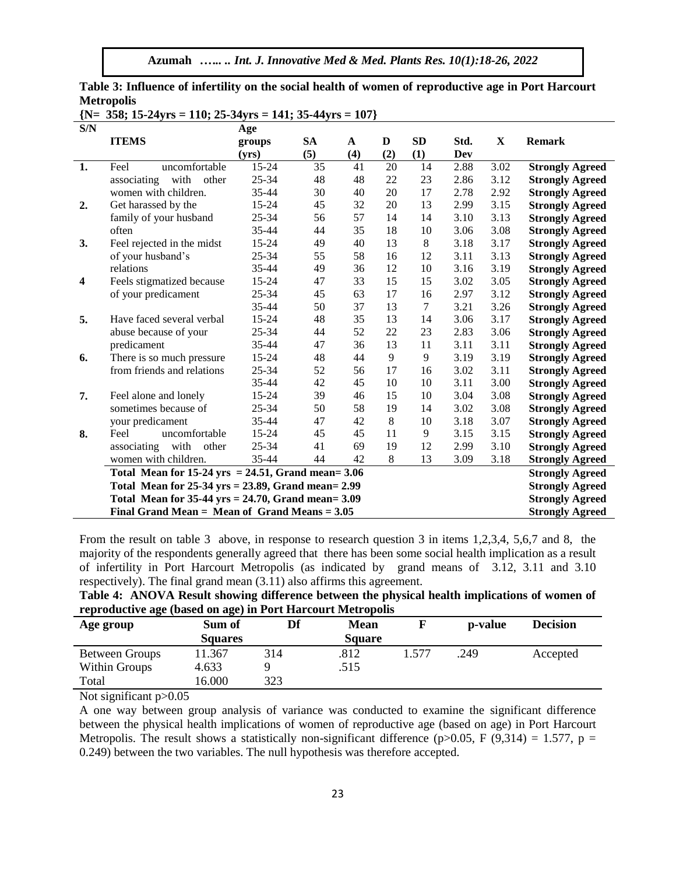**Azumah** *.….. .. Int. J. Innovative Med & Med. Plants Res. 10(1):18-26, 2022*

|                         | ${N= 358; 15-24yrs = 110; 25-34yrs = 141; 35-44yrs = 107}$ |           |           |              |         |           |      |      |                        |
|-------------------------|------------------------------------------------------------|-----------|-----------|--------------|---------|-----------|------|------|------------------------|
| S/N                     |                                                            | Age       |           |              |         |           |      |      |                        |
|                         | <b>ITEMS</b>                                               | groups    | <b>SA</b> | $\mathbf{A}$ | D       | <b>SD</b> | Std. | X    | <b>Remark</b>          |
|                         |                                                            | (vrs)     | (5)       | (4)          | (2)     | (1)       | Dev  |      |                        |
| 1.                      | uncomfortable<br>Feel                                      | 15-24     | 35        | 41           | 20      | 14        | 2.88 | 3.02 | <b>Strongly Agreed</b> |
|                         | associating with other                                     | 25-34     | 48        | 48           | 22      | 23        | 2.86 | 3.12 | <b>Strongly Agreed</b> |
|                         | women with children.                                       | 35-44     | 30        | 40           | 20      | 17        | 2.78 | 2.92 | <b>Strongly Agreed</b> |
| 2.                      | Get harassed by the                                        | $15 - 24$ | 45        | 32           | 20      | 13        | 2.99 | 3.15 | <b>Strongly Agreed</b> |
|                         | family of your husband                                     | $25 - 34$ | 56        | 57           | 14      | 14        | 3.10 | 3.13 | <b>Strongly Agreed</b> |
|                         | often                                                      | 35-44     | 44        | 35           | 18      | 10        | 3.06 | 3.08 | <b>Strongly Agreed</b> |
| 3.                      | Feel rejected in the midst                                 | 15-24     | 49        | 40           | 13      | 8         | 3.18 | 3.17 | <b>Strongly Agreed</b> |
|                         | of your husband's                                          | $25 - 34$ | 55        | 58           | 16      | 12        | 3.11 | 3.13 | <b>Strongly Agreed</b> |
|                         | relations                                                  | 35-44     | 49        | 36           | 12      | 10        | 3.16 | 3.19 | <b>Strongly Agreed</b> |
| $\overline{\mathbf{4}}$ | Feels stigmatized because                                  | 15-24     | 47        | 33           | 15      | 15        | 3.02 | 3.05 | <b>Strongly Agreed</b> |
|                         | of your predicament                                        | 25-34     | 45        | 63           | 17      | 16        | 2.97 | 3.12 | <b>Strongly Agreed</b> |
|                         |                                                            | 35-44     | 50        | 37           | 13      | 7         | 3.21 | 3.26 | <b>Strongly Agreed</b> |
| 5.                      | Have faced several verbal                                  | 15-24     | 48        | 35           | 13      | 14        | 3.06 | 3.17 | <b>Strongly Agreed</b> |
|                         | abuse because of your                                      | 25-34     | 44        | 52           | 22      | 23        | 2.83 | 3.06 | <b>Strongly Agreed</b> |
|                         | predicament                                                | 35-44     | 47        | 36           | 13      | 11        | 3.11 | 3.11 | <b>Strongly Agreed</b> |
| 6.                      | There is so much pressure                                  | 15-24     | 48        | 44           | 9       | 9         | 3.19 | 3.19 | <b>Strongly Agreed</b> |
|                         | from friends and relations                                 | $25 - 34$ | 52        | 56           | 17      | 16        | 3.02 | 3.11 | <b>Strongly Agreed</b> |
|                         |                                                            | 35-44     | 42        | 45           | 10      | 10        | 3.11 | 3.00 | <b>Strongly Agreed</b> |
| 7.                      | Feel alone and lonely                                      | 15-24     | 39        | 46           | 15      | 10        | 3.04 | 3.08 | <b>Strongly Agreed</b> |
|                         | sometimes because of                                       | $25 - 34$ | 50        | 58           | 19      | 14        | 3.02 | 3.08 | <b>Strongly Agreed</b> |
|                         | your predicament                                           | 35-44     | 47        | 42           | $\,8\,$ | 10        | 3.18 | 3.07 | <b>Strongly Agreed</b> |
| 8.                      | Feel<br>uncomfortable                                      | 15-24     | 45        | 45           | 11      | 9         | 3.15 | 3.15 | <b>Strongly Agreed</b> |
|                         | with<br>associating<br>other                               | $25 - 34$ | 41        | 69           | 19      | 12        | 2.99 | 3.10 | <b>Strongly Agreed</b> |
|                         | women with children.                                       | 35-44     | 44        | 42           | 8       | 13        | 3.09 | 3.18 | <b>Strongly Agreed</b> |
|                         | Total Mean for $15-24$ yrs = 24.51, Grand mean= 3.06       |           |           |              |         |           |      |      | <b>Strongly Agreed</b> |
|                         | Total Mean for $25-34$ yrs = 23.89, Grand mean= 2.99       |           |           |              |         |           |      |      | <b>Strongly Agreed</b> |
|                         | Total Mean for $35-44$ yrs = $24.70$ , Grand mean= $3.09$  |           |           |              |         |           |      |      | <b>Strongly Agreed</b> |
|                         | Final Grand Mean $=$ Mean of Grand Means $= 3.05$          |           |           |              |         |           |      |      | <b>Strongly Agreed</b> |

**Table 3: Influence of infertility on the social health of women of reproductive age in Port Harcourt Metropolis**

**reproductive age (based on age) in Port Harcourt Metropolis** Age group Sum of **Df Mean F p-value Decision** 

respectively). The final grand mean (3.11) also affirms this agreement.

|                       | <b>Squares</b> |     | <b>Square</b> |      |          |  |  |
|-----------------------|----------------|-----|---------------|------|----------|--|--|
| <b>Between Groups</b> | 11.367         | 314 | .812          | .249 | Accepted |  |  |
| Within Groups         | 4.633          |     | .515          |      |          |  |  |
| Total                 | 16.000         | 323 |               |      |          |  |  |

From the result on table 3 above, in response to research question 3 in items 1,2,3,4, 5,6,7 and 8, the majority of the respondents generally agreed that there has been some social health implication as a result of infertility in Port Harcourt Metropolis (as indicated by grand means of 3.12, 3.11 and 3.10

**Table 4: ANOVA Result showing difference between the physical health implications of women of** 

Not significant  $p > 0.05$ 

A one way between group analysis of variance was conducted to examine the significant difference between the physical health implications of women of reproductive age (based on age) in Port Harcourt Metropolis. The result shows a statistically non-significant difference (p $> 0.05$ , F (9,314) = 1.577, p = 0.249) between the two variables. The null hypothesis was therefore accepted.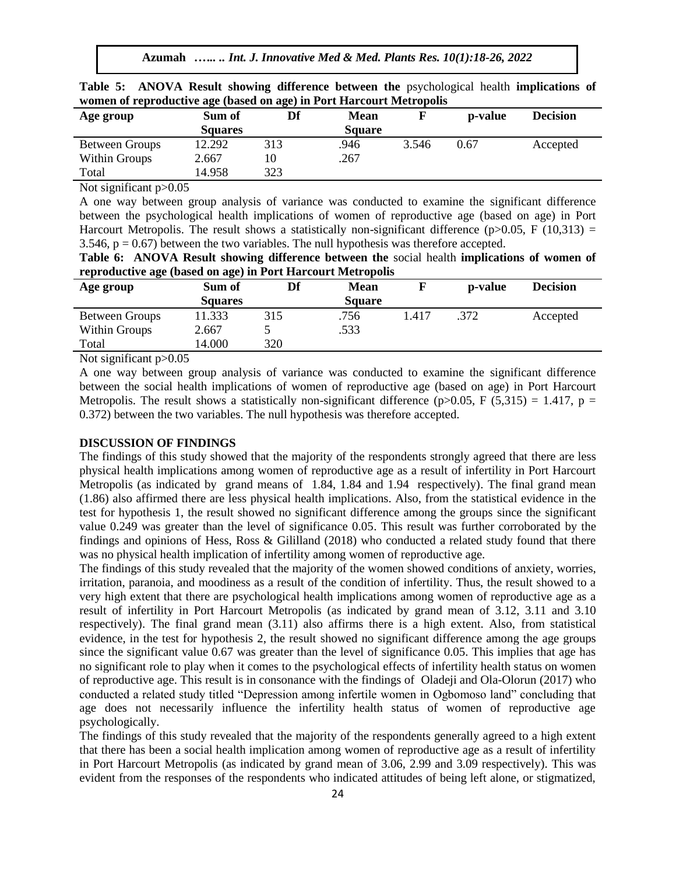**Azumah** *.….. .. Int. J. Innovative Med & Med. Plants Res. 10(1):18-26, 2022*

| women of reproductive age (based on age) in Port Harcourt Metropolis |                |     |             |       |                 |                 |  |  |  |  |
|----------------------------------------------------------------------|----------------|-----|-------------|-------|-----------------|-----------------|--|--|--|--|
| Age group                                                            | Sum of         |     | <b>Mean</b> |       | <b>p</b> -value | <b>Decision</b> |  |  |  |  |
|                                                                      | <b>Squares</b> |     | Square      |       |                 |                 |  |  |  |  |
| <b>Between Groups</b>                                                | 12.292         | 313 | .946        | 3.546 | 0.67            | Accepted        |  |  |  |  |
| Within Groups                                                        | 2.667          | 10  | .267        |       |                 |                 |  |  |  |  |

**Table 5: ANOVA Result showing difference between the** psychological health **implications of women of reproductive age (based on age) in Port Harcourt Metropolis**

Not significant p>0.05

Total 14.958 323

A one way between group analysis of variance was conducted to examine the significant difference between the psychological health implications of women of reproductive age (based on age) in Port Harcourt Metropolis. The result shows a statistically non-significant difference (p $>0.05$ , F (10,313) = 3.546,  $p = 0.67$ ) between the two variables. The null hypothesis was therefore accepted.

**Table 6: ANOVA Result showing difference between the** social health **implications of women of reproductive age (based on age) in Port Harcourt Metropolis**

|                             | $\epsilon$     |     |               |       |         |                 |
|-----------------------------|----------------|-----|---------------|-------|---------|-----------------|
| Age group                   | Sum of         | Df  | <b>Mean</b>   |       | p-value | <b>Decision</b> |
|                             | <b>Squares</b> |     | <b>Square</b> |       |         |                 |
| <b>Between Groups</b>       | 11.333         | 315 | .756          | 1.417 | .372    | Accepted        |
| Within Groups               | 2.667          |     | .533          |       |         |                 |
| Total                       | 14.000         | 320 |               |       |         |                 |
| $\sim$<br>$\sim$ $\sim$ $-$ |                |     |               |       |         |                 |

Not significant  $p > 0.05$ 

A one way between group analysis of variance was conducted to examine the significant difference between the social health implications of women of reproductive age (based on age) in Port Harcourt Metropolis. The result shows a statistically non-significant difference (p $> 0.05$ , F (5,315) = 1.417, p = 0.372) between the two variables. The null hypothesis was therefore accepted.

## **DISCUSSION OF FINDINGS**

The findings of this study showed that the majority of the respondents strongly agreed that there are less physical health implications among women of reproductive age as a result of infertility in Port Harcourt Metropolis (as indicated by grand means of 1.84, 1.84 and 1.94 respectively). The final grand mean (1.86) also affirmed there are less physical health implications. Also, from the statistical evidence in the test for hypothesis 1, the result showed no significant difference among the groups since the significant value 0.249 was greater than the level of significance 0.05. This result was further corroborated by the findings and opinions of Hess, Ross & Gililland (2018) who conducted a related study found that there was no physical health implication of infertility among women of reproductive age.

The findings of this study revealed that the majority of the women showed conditions of anxiety, worries, irritation, paranoia, and moodiness as a result of the condition of infertility. Thus, the result showed to a very high extent that there are psychological health implications among women of reproductive age as a result of infertility in Port Harcourt Metropolis (as indicated by grand mean of 3.12, 3.11 and 3.10 respectively). The final grand mean (3.11) also affirms there is a high extent. Also, from statistical evidence, in the test for hypothesis 2, the result showed no significant difference among the age groups since the significant value 0.67 was greater than the level of significance 0.05. This implies that age has no significant role to play when it comes to the psychological effects of infertility health status on women of reproductive age. This result is in consonance with the findings of [Oladeji](https://medpharm.tandfonline.com/author/Oladeji%2C+SA) and [Ola-Olorun](https://medpharm.tandfonline.com/author/OlaOlorun%2C+AD) (2017) who conducted a related study titled "Depression among infertile women in Ogbomoso land" concluding that age does not necessarily influence the infertility health status of women of reproductive age psychologically.

The findings of this study revealed that the majority of the respondents generally agreed to a high extent that there has been a social health implication among women of reproductive age as a result of infertility in Port Harcourt Metropolis (as indicated by grand mean of 3.06, 2.99 and 3.09 respectively). This was evident from the responses of the respondents who indicated attitudes of being left alone, or stigmatized,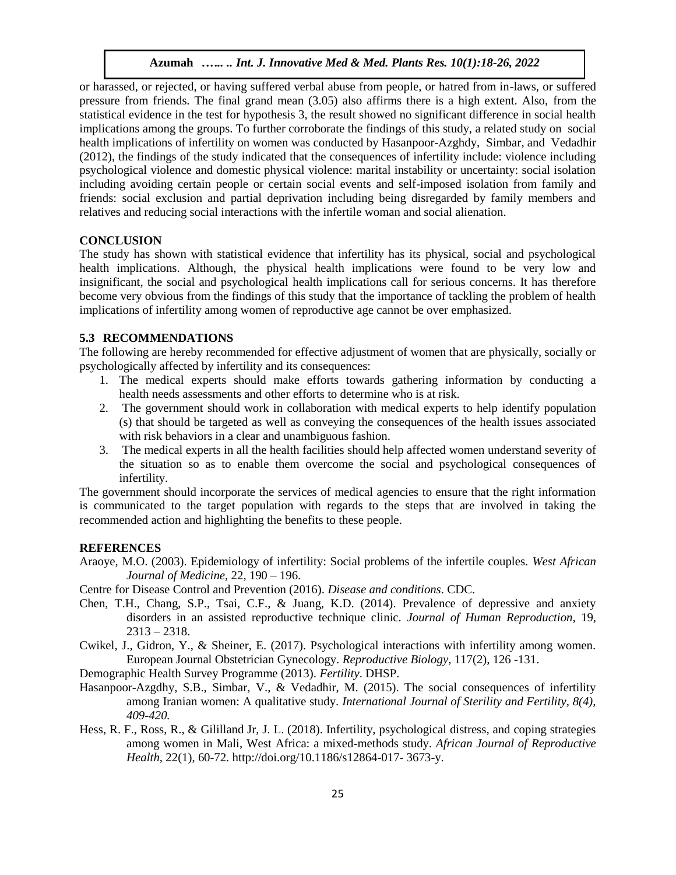or harassed, or rejected, or having suffered verbal abuse from people, or hatred from in-laws, or suffered pressure from friends. The final grand mean (3.05) also affirms there is a high extent. Also, from the statistical evidence in the test for hypothesis 3, the result showed no significant difference in social health implications among the groups. To further corroborate the findings of this study, a related study on social health implications of infertility on women was conducted by [Hasanpoor-Azghdy,](https://www.ncbi.nlm.nih.gov/pubmed/?term=Hasanpoor-Azghdy%20SB%5BAuthor%5D&cauthor=true&cauthor_uid=25780523) [Simbar,](https://www.ncbi.nlm.nih.gov/pubmed/?term=Simbar%20M%5BAuthor%5D&cauthor=true&cauthor_uid=25780523) and [Vedadhir](https://www.ncbi.nlm.nih.gov/pubmed/?term=Vedadhir%20A%5BAuthor%5D&cauthor=true&cauthor_uid=25780523) (2012), the findings of the study indicated that the consequences of infertility include: violence including psychological violence and domestic physical violence: marital instability or uncertainty: social isolation including avoiding certain people or certain social events and self-imposed isolation from family and friends: social exclusion and partial deprivation including being disregarded by family members and relatives and reducing social interactions with the infertile woman and social alienation.

#### **CONCLUSION**

The study has shown with statistical evidence that infertility has its physical, social and psychological health implications. Although, the physical health implications were found to be very low and insignificant, the social and psychological health implications call for serious concerns. It has therefore become very obvious from the findings of this study that the importance of tackling the problem of health implications of infertility among women of reproductive age cannot be over emphasized.

#### **5.3 RECOMMENDATIONS**

The following are hereby recommended for effective adjustment of women that are physically, socially or psychologically affected by infertility and its consequences:

- 1. The medical experts should make efforts towards gathering information by conducting a health [needs assessments](https://www.ruralhealthinfo.org/toolkits/rural-toolkit/1/needs-assessment) and other efforts to determine who is at risk.
- 2. The government should work in collaboration with medical experts to help identify population (s) that should be targeted as well as conveying the consequences of the health issues associated with risk behaviors in a clear and unambiguous fashion.
- 3. The medical experts in all the health facilities should help affected women understand severity of the situation so as to enable them overcome the social and psychological consequences of infertility.

The government should incorporate the services of medical agencies to ensure that the right information is communicated to the target population with regards to the steps that are involved in taking the recommended action and highlighting the benefits to these people.

# **REFERENCES**

Araoye, M.O. (2003). Epidemiology of infertility: Social problems of the infertile couples. *West African Journal of Medicine,* 22, 190 – 196.

Centre for Disease Control and Prevention (2016). *Disease and conditions*. CDC.

- Chen, T.H., Chang, S.P., Tsai, C.F., & Juang, K.D. (2014). Prevalence of depressive and anxiety disorders in an assisted reproductive technique clinic. *Journal of Human Reproduction*, 19,  $2313 - 2318.$
- Cwikel, J., Gidron, Y., & Sheiner, E. (2017). Psychological interactions with infertility among women. European Journal Obstetrician Gynecology. *Reproductive Biology*, 117(2), 126 -131.

Demographic Health Survey Programme (2013). *Fertility*. DHSP.

- Hasanpoor-Azgdhy, S.B., Simbar, V., & Vedadhir, M. (2015). The social consequences of infertility among Iranian women: A qualitative study. *International Journal of Sterility and Fertility, 8(4), 409-420.*
- Hess, R. F., Ross, R., & Gililland Jr, J. L. (2018). Infertility, psychological distress, and coping strategies among women in Mali, West Africa: a mixed-methods study. *African Journal of Reproductive Health,* 22(1), 60-72. http://doi.org/10.1186/s12864-017- 3673-y.